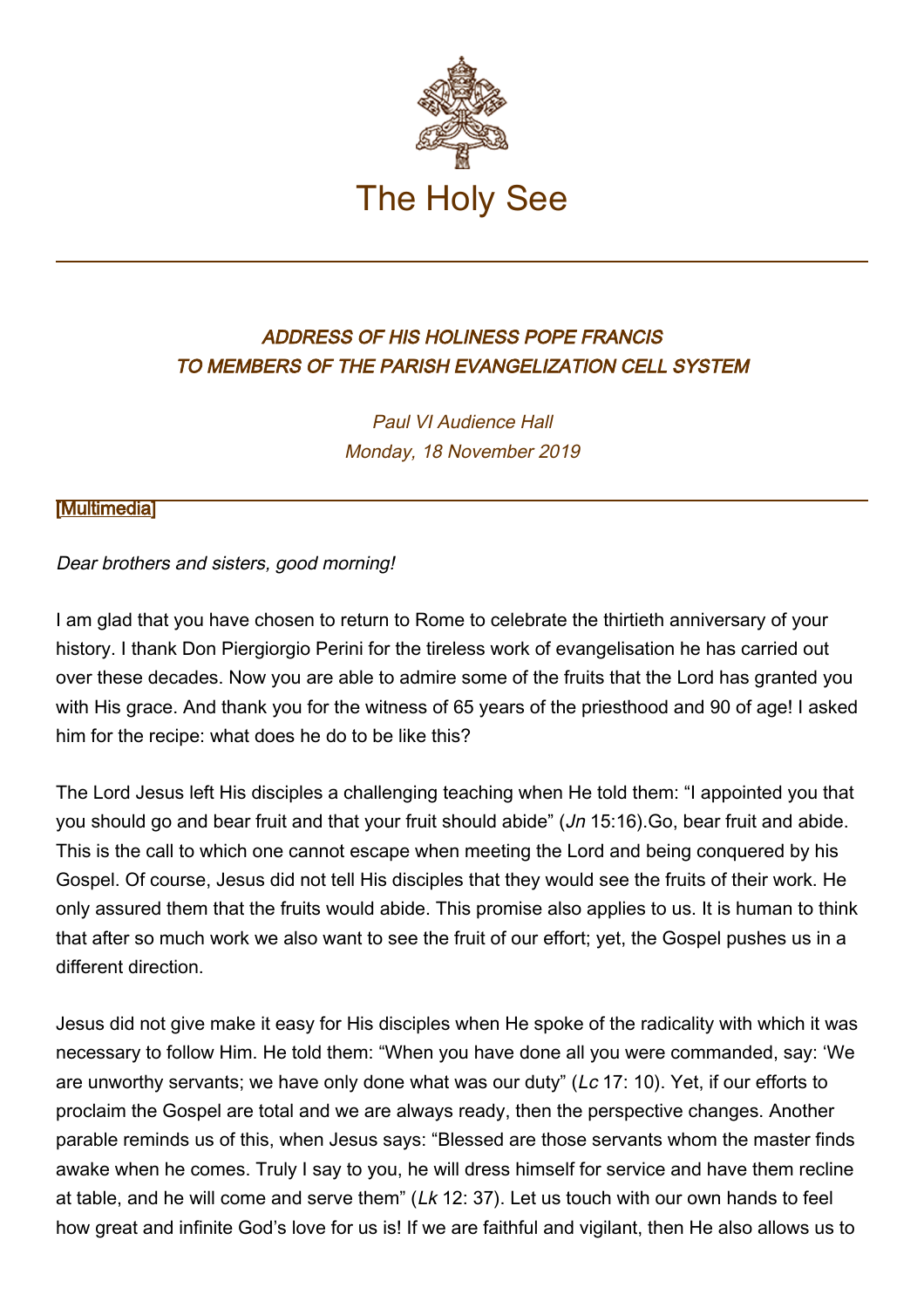

## ADDRESS OF HIS HOLINESS POPE FRANCIS TO MEMBERS OF THE PARISH EVANGELIZATION CELL SYSTEM

Paul VI Audience Hall Monday, 18 November 2019

## [\[Multimedia](http://w2.vatican.va/content/francesco/en/events/event.dir.html/content/vaticanevents/en/2019/11/18/cellule-evangelizzazione.html)]

## Dear brothers and sisters, good morning!

I am glad that you have chosen to return to Rome to celebrate the thirtieth anniversary of your history. I thank Don Piergiorgio Perini for the tireless work of evangelisation he has carried out over these decades. Now you are able to admire some of the fruits that the Lord has granted you with His grace. And thank you for the witness of 65 years of the priesthood and 90 of age! I asked him for the recipe: what does he do to be like this?

The Lord Jesus left His disciples a challenging teaching when He told them: "I appointed you that you should go and bear fruit and that your fruit should abide" (*Jn* 15:16). Go, bear fruit and abide. This is the call to which one cannot escape when meeting the Lord and being conquered by his Gospel. Of course, Jesus did not tell His disciples that they would see the fruits of their work. He only assured them that the fruits would abide. This promise also applies to us. It is human to think that after so much work we also want to see the fruit of our effort; yet, the Gospel pushes us in a different direction.

Jesus did not give make it easy for His disciples when He spoke of the radicality with which it was necessary to follow Him. He told them: "When you have done all you were commanded, say: 'We are unworthy servants; we have only done what was our duty" (Lc 17: 10). Yet, if our efforts to proclaim the Gospel are total and we are always ready, then the perspective changes. Another parable reminds us of this, when Jesus says: "Blessed are those servants whom the master finds awake when he comes. Truly I say to you, he will dress himself for service and have them recline at table, and he will come and serve them" (Lk 12: 37). Let us touch with our own hands to feel how great and infinite God's love for us is! If we are faithful and vigilant, then He also allows us to